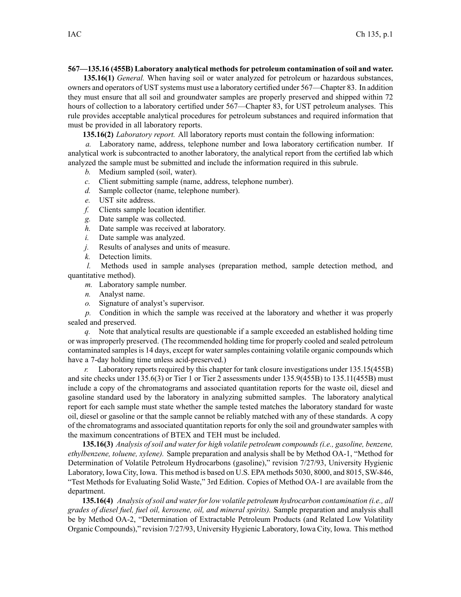## **567—135.16 (455B) Laboratory analytical methods for petroleum contamination of soil and water.**

**135.16(1)** *General.* When having soil or water analyzed for petroleum or hazardous substances, owners and operators of UST systems must use <sup>a</sup> laboratory certified under 567—Chapter 83. In addition they must ensure that all soil and groundwater samples are properly preserved and shipped within 72 hours of collection to <sup>a</sup> laboratory certified under 567—Chapter 83, for UST petroleum analyses. This rule provides acceptable analytical procedures for petroleum substances and required information that must be provided in all laboratory reports.

**135.16(2)** *Laboratory report.* All laboratory reports must contain the following information:

*a.* Laboratory name, address, telephone number and Iowa laboratory certification number. If analytical work is subcontracted to another laboratory, the analytical repor<sup>t</sup> from the certified lab which analyzed the sample must be submitted and include the information required in this subrule.

- *b.* Medium sampled (soil, water).
- *c.* Client submitting sample (name, address, telephone number).
- *d.* Sample collector (name, telephone number).
- *e.* UST site address.
- *f.* Clients sample location identifier.
- *g.* Date sample was collected.
- *h.* Date sample was received at laboratory.
- *i.* Date sample was analyzed.
- *j.* Results of analyses and units of measure.
- *k.* Detection limits.

*l.* Methods used in sample analyses (preparation method, sample detection method, and quantitative method).

- *m.* Laboratory sample number.
- *n.* Analyst name.
- *o.* Signature of analyst's supervisor.

*p.* Condition in which the sample was received at the laboratory and whether it was properly sealed and preserved.

*q.* Note that analytical results are questionable if <sup>a</sup> sample exceeded an established holding time or was improperly preserved. (The recommended holding time for properly cooled and sealed petroleum contaminated samples is 14 days, except for water samples containing volatile organic compounds which have <sup>a</sup> 7-day holding time unless acid-preserved.)

*r.* Laboratory reports required by this chapter for tank closure investigations under 135.15(455B) and site checks under 135.6(3) or Tier 1 or Tier 2 assessments under 135.9(455B) to 135.11(455B) must include <sup>a</sup> copy of the chromatograms and associated quantitation reports for the waste oil, diesel and gasoline standard used by the laboratory in analyzing submitted samples. The laboratory analytical repor<sup>t</sup> for each sample must state whether the sample tested matches the laboratory standard for waste oil, diesel or gasoline or that the sample cannot be reliably matched with any of these standards. A copy of the chromatograms and associated quantitation reports for only the soil and groundwater samples with the maximum concentrations of BTEX and TEH must be included.

**135.16(3)** *Analysis of soil and water for high volatile petroleum compounds (i.e., gasoline, benzene, ethylbenzene, toluene, xylene).* Sample preparation and analysis shall be by Method OA-1, "Method for Determination of Volatile Petroleum Hydrocarbons (gasoline)," revision 7/27/93, University Hygienic Laboratory, Iowa City, Iowa. This method is based on U.S. EPA methods 5030, 8000, and 8015, SW-846, "Test Methods for Evaluating Solid Waste," 3rd Edition. Copies of Method OA-1 are available from the department.

**135.16(4)** *Analysis ofsoil and waterforlow volatile petroleum hydrocarbon contamination (i.e., all grades of diesel fuel, fuel oil, kerosene, oil, and mineral spirits).* Sample preparation and analysis shall be by Method OA-2, "Determination of Extractable Petroleum Products (and Related Low Volatility Organic Compounds)," revision 7/27/93, University Hygienic Laboratory, Iowa City, Iowa. This method